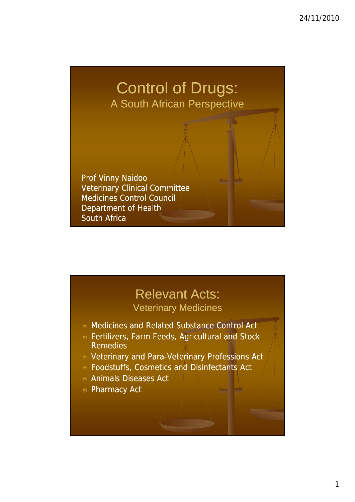# Control of Drugs: A South African Perspective

Prof Vinny Naidoo Veterinary Clinical Committee Medicines Control Council Department of Health South Africa

#### Relevant Acts: Veterinary Medicines

- Medicines and Related Substance Control Act
- **Reading Fertilizers, Farm Feeds, Agricultural and Stock** Remedies
- **E** Veterinary and Para-Veterinary Professions Act
- Foodstuffs, Cosmetics and Disinfectants Act
- Animals Diseases Act
- **Pharmacy Act**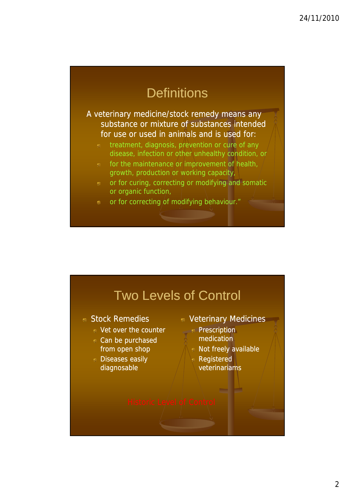## **Definitions**

A veterinary medicine/stock remedy means any substance or mixture of substances intended for use or used in animals and is used for:

- treatment, diagnosis, prevention or cure of any disease, infection or other unhealthy condition, or
- for the maintenance or improvement of health, growth, production or working capacity,
- or for curing, correcting or modifying and somatic or organic function,
- or for correcting of modifying behaviour."

### Two Levels of Control

#### Stock Remedies

- Vet over the counter **Vet over the counter**
- Can be purchased from open shop
- **Diseases easily** diagnosable
- Veterinary Medicines
	- medication
	- Not freely available
		- Registered veterinariams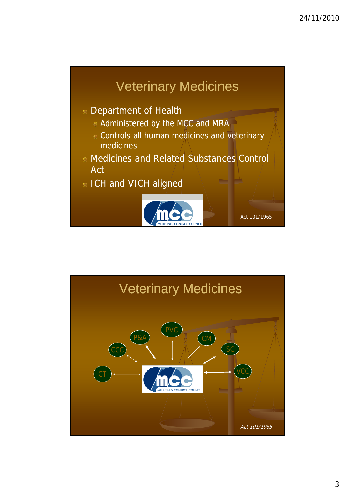

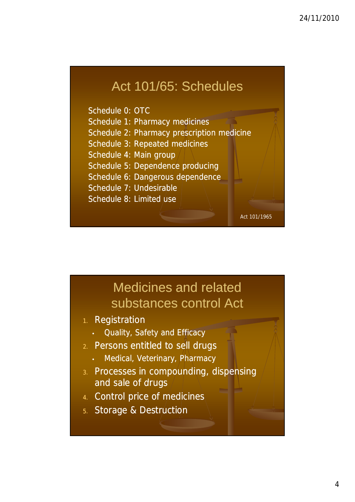## Act 101/65: Schedules

Schedule 0: OTC

Schedule 1: Pharmacy medicines

- Schedule 2: Pharmacy prescription medicine
- Schedule 3: Repeated medicines
- Schedule 4: Main group
- Schedule 5: Dependence producing
- Schedule 6: Dangerous dependence
- Schedule 7: Undesirable
- Schedule 8: Limited use

# Medicines and related substances control Act

Act 101/1965

- 1. Registration
	- Quality, Safety and Efficacy
- 2. Persons entitled to sell drugs
	- Medical, Veterinary, Pharmacy
- 3. Processes in compounding, dispensing and sale of drugs
- 4. Control price of medicines
- 5. Storage & Destruction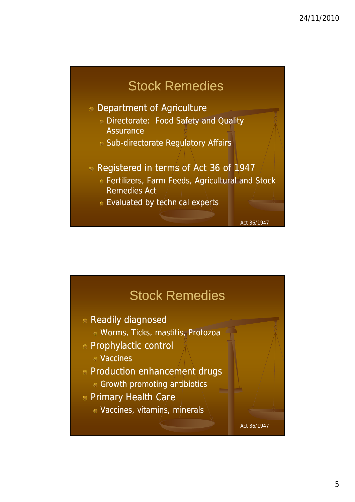



5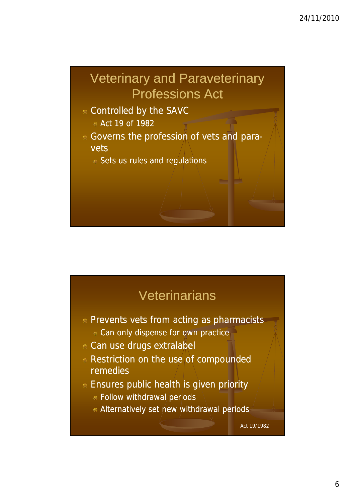# Veterinary and Paraveterinary Professions Act

- Controlled by the SAVC
	- Act 19 of 1982
- Governs the profession of vets and paravets
	- Sets us rules and regulations

# **Veterinarians**

- **Prevents vets from acting as pharmacists** 
	- **Can only dispense for own practice**
- **Can use drugs extralabel**
- Restriction on the use of compounded remedies
- **Ensures public health is given priority** 
	- Follow withdrawal periods
	- Alternatively set new withdrawal periods

Act 19/1982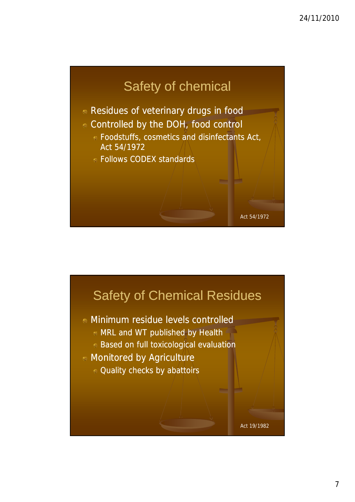

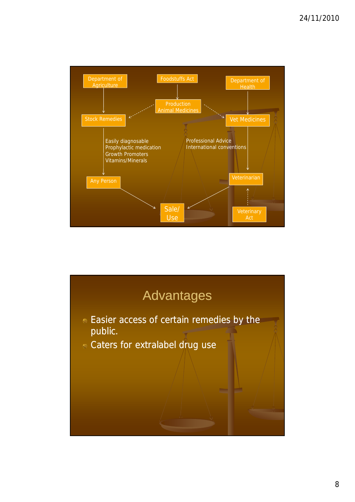